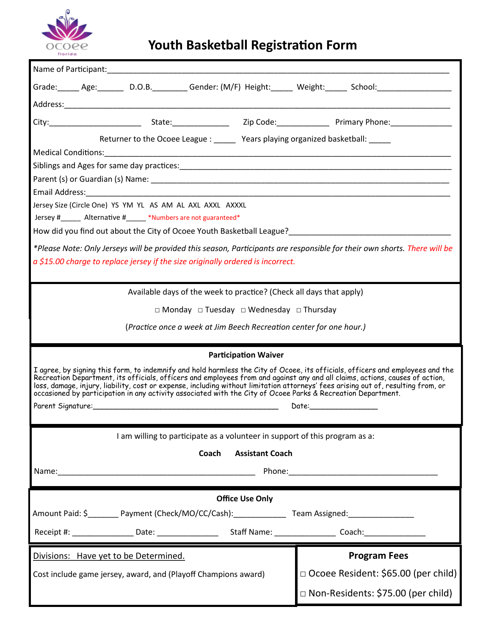

## **Youth Basketball Registration Form**

| Grade: _____ Age: _______ D.O.B. ________ Gender: (M/F) Height: _____ Weight: _____ School: __________________                                                                                                                                    |                                       |
|---------------------------------------------------------------------------------------------------------------------------------------------------------------------------------------------------------------------------------------------------|---------------------------------------|
|                                                                                                                                                                                                                                                   |                                       |
|                                                                                                                                                                                                                                                   |                                       |
| Returner to the Ocoee League : ______ Years playing organized basketball: _____                                                                                                                                                                   |                                       |
|                                                                                                                                                                                                                                                   |                                       |
|                                                                                                                                                                                                                                                   |                                       |
|                                                                                                                                                                                                                                                   |                                       |
|                                                                                                                                                                                                                                                   |                                       |
| Jersey Size (Circle One) YS YM YL AS AM AL AXL AXXL AXXXL                                                                                                                                                                                         |                                       |
| Jersey #______ Alternative #_____ *Numbers are not guaranteed*                                                                                                                                                                                    |                                       |
| How did you find out about the City of Ocoee Youth Basketball League?<br>The Manuscription of the City of Ocoee Youth Basketball League?                                                                                                          |                                       |
| *Please Note: Only Jerseys will be provided this season, Participants are responsible for their own shorts. There will be                                                                                                                         |                                       |
| $a$ \$15.00 charge to replace jersey if the size originally ordered is incorrect.                                                                                                                                                                 |                                       |
|                                                                                                                                                                                                                                                   |                                       |
| Available days of the week to practice? (Check all days that apply)                                                                                                                                                                               |                                       |
| $\Box$ Monday $\Box$ Tuesday $\Box$ Wednesday $\Box$ Thursday                                                                                                                                                                                     |                                       |
|                                                                                                                                                                                                                                                   |                                       |
| (Practice once a week at Jim Beech Recreation center for one hour.)                                                                                                                                                                               |                                       |
| <b>Participation Waiver</b>                                                                                                                                                                                                                       |                                       |
| I agree, by signing this form, to indemnify and hold harmless the City of Ocoee, its officials, officers and employees and the                                                                                                                    |                                       |
| Recreation Department, its officials, officers and employees from and against any and all claims, actions, causes of action,                                                                                                                      |                                       |
| loss, damage, injury, liability, cost or expense, including without limitation attorneys' fees arising out of, resulting from, or<br>occasioned by participation in any activity associated with the City of Ocoee Parks & Recreation Department. |                                       |
|                                                                                                                                                                                                                                                   |                                       |
|                                                                                                                                                                                                                                                   |                                       |
| I am willing to participate as a volunteer in support of this program as a:                                                                                                                                                                       |                                       |
| Coach<br><b>Assistant Coach</b>                                                                                                                                                                                                                   |                                       |
|                                                                                                                                                                                                                                                   |                                       |
|                                                                                                                                                                                                                                                   |                                       |
| <b>Office Use Only</b>                                                                                                                                                                                                                            |                                       |
|                                                                                                                                                                                                                                                   |                                       |
|                                                                                                                                                                                                                                                   |                                       |
|                                                                                                                                                                                                                                                   |                                       |
| Divisions: Have yet to be Determined.                                                                                                                                                                                                             | <b>Program Fees</b>                   |
| Cost include game jersey, award, and (Playoff Champions award)                                                                                                                                                                                    | □ Ocoee Resident: \$65.00 (per child) |
|                                                                                                                                                                                                                                                   |                                       |
|                                                                                                                                                                                                                                                   | □ Non-Residents: \$75.00 (per child)  |